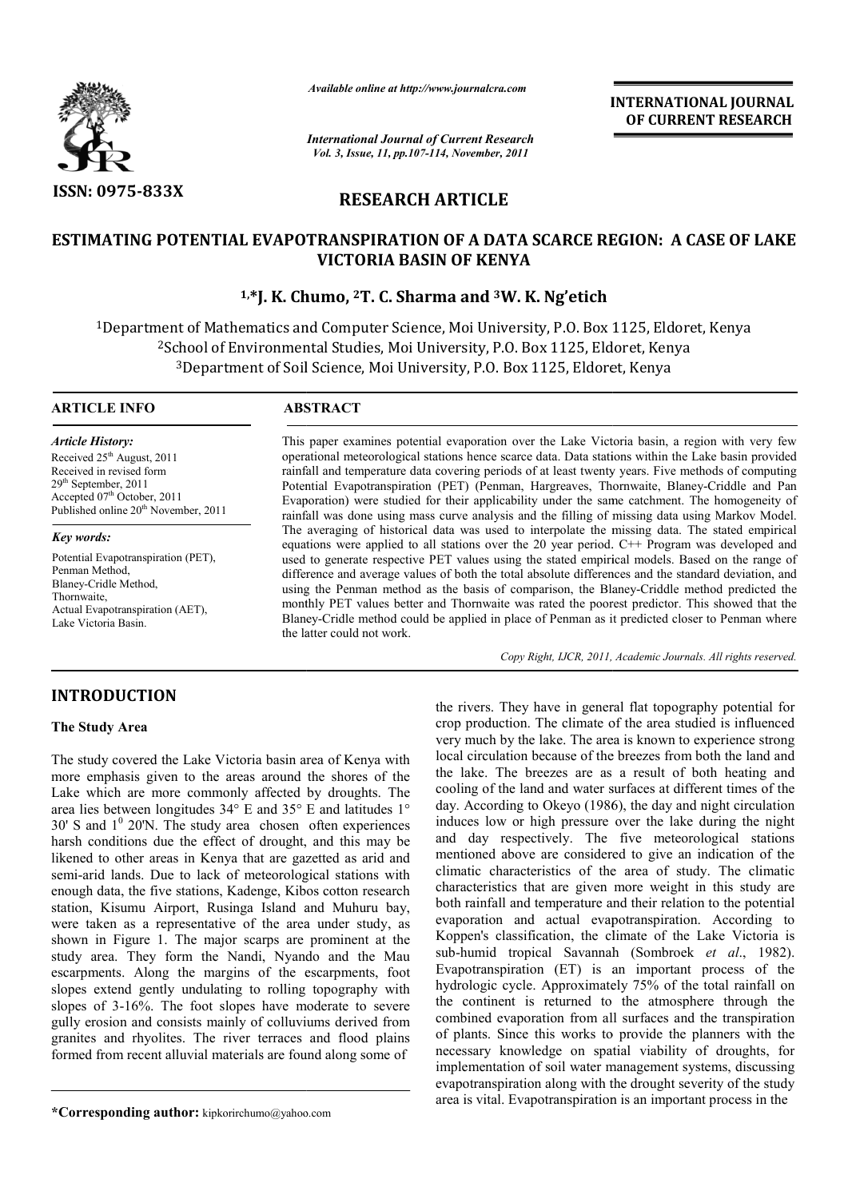

*Available online at http://www.journalcra.com*

*International Journal of Current Research Vol. 3, Issue, 11, pp.107-114, November, 2011*

**INTERNATIONAL INTERNATIONAL JOURNAL OF CURRENT RESEARCH** 

# **RESEARCH ARTICLE**

# **ESTIMATING POTENTIAL EVAPOTRANSPIRATION OF A DATA SCARCE REGION: A CASE OF LAKE VICTORIA BASIN OF KENYA**

# **1,\*J. K. Chumo \*J. Chumo, 2T. C. Sharma and 3W. K. Ng'etich**

<sup>1</sup>Department of Mathematics and Computer Science, Moi University, P.O. Box 1125, Eldoret, Kenya<br><sup>2</sup>School of Environmental Studies, Moi University, P.O. Box 1125, Eldoret, Kenya 2School of Environmental Studies, Moi University, 3Department of Soil Science, Moi University, P.O. Box 1125, Eldoret, Kenya Department : of Mathematics and Computer Science, Moi University, P.O. Box 1125, Eldor<br>100l of Environmental Studies, Moi University, P.O. Box 1125, Eldoret, Kenya<br>Department of Soil Science, Moi University, P.O. Box 1125, Eldoret, K

## **ARTICLE INFO ABSTRACT**

*Article History:* Received  $25<sup>th</sup>$  August, 2011 Received in revised form 29th September, 2011 Accepted 07<sup>th</sup> October, 2011 Published online 20<sup>th</sup> November, 2011

*Key words:*

Potential Evapotranspiration (PET), Penman Method, Blaney-Cridle Method, Thornwaite, Actual Evapotranspiration (AET), Lake Victoria Basin.

This paper examines potential evaporation over the Lake Victoria basin, a region with very few operational meteorological stations hence scarce data. Data stations within the Lake basin provided rainfall and temperature data covering periods of at least twenty years. Five methods of computing This paper examines potential evaporation over the Lake Victoria basin, a region with very few operational meteorological stations hence scarce data. Data stations within the Lake basin provided rainfall and temperature da Evaporation) were studied for their applicability under the same catchment. The homogeneity of rainfall was done using mass curve analysis and the filling of missing data using Markov Model. The averaging of historical data was used to interpolate the missing data. The stated empirical equations were applied to all stations over the 20 year period. C++ Program was developed and used to generate respective PET values using the stated empirical models. Based on the range of difference and average values of both the total absolute differences and the standard deviation, and using the Penman method as the basis of comparison, the Blaney-Criddle method predicted the monthly PET values better and Thornwaite was rated the poorest predictor. This showed that the Blaney-Cridle method could be applied in place of Penman as it predicted closer to Penman where the latter could not work. were studied for their applicability under the same catchment. The homogeneity of done using mass curve analysis and the filling of missing data using Markov Model. Ig of historical data was used to interpolate the missing

Copy Right, IJCR, 2011, Academic Journals. All rights reserved.

# **INTRODUCTION**

## **The Study Area**

The study covered the Lake Victoria basin area of Kenya with more emphasis given to the areas around the shores of the Lake which are more commonly affected by droughts. The area lies between longitudes 34° E and 35° E and latitudes 1°  $30'$  S and  $1<sup>0</sup>$  20'N. The study area chosen often experiences harsh conditions due the effect of drought, and this may be likened to other areas in Kenya that are gazetted as arid and semi-arid lands. Due to lack of meteorological stations with enough data, the five stations, Kadenge, Kibos cotton research station, Kisumu Airport, Rusinga Island and Muhuru bay, were taken as a representative of the area under study, as shown in Figure 1. The major scarps are prominent at the semi-arid lands. Due to lack of meteorological stations with<br>enough data, the five stations, Kadenge, Kibos cotton research<br>station, Kisumu Airport, Rusinga Island and Muhuru bay,<br>were taken as a representative of the area escarpments. Along the margins of the escarpments, foot slopes extend gently undulating to rolling topography with slopes of 3-16%. The foot slopes have moderate to severe gully erosion and consists mainly of colluviums derived from granites and rhyolites. The river terraces and flood plains formed from recent alluvial materials are found along some of

**\*Corresponding author:** kipkorirchumo@yahoo.com

the rivers. They have in general flat topography potential forms<br>
or proproduction. The climate of the reas studied is influence<br>
wery much by the lake. The area standed is influence<br>
size given to the areas around the sh crop production. The climate of the area studied is influenced very much by the lake. The area is known to experience strong local circulation because of the breezes from both the land and the lake. The breezes are as a result of both heating and cooling of the land and water surfaces at different times of the day. According to Okeyo (1986), the day and night circulation induces low or high pressure over the lake during the night and day respectively. The five meteorological stations mentioned above are considered to give an indication of the climatic characteristics of the area of study. The climatic characteristics that are given more weight in this study are both rainfall and temperature and their relation to the potential evaporation and actual evapotranspiration. According to Koppen's classification, the climate of the Lake Victoria is Koppen's classification, the climate of the Lake Victoria is sub-humid tropical Savannah (Sombroek *et al.*, 1982). Evapotranspiration (ET) is an important process of the hydrologic cycle. Approximately 75% of the total rainfall on the continent is returned to the atmosphere through the combined evaporation from all surfaces and the transpiration of plants. Since this works to provide the planners with the necessary knowledge on spatial viability of droughts, for implementation of soil water management systems, discussing evapotranspiration along with the drought severity of the study area is vital. Evapotranspiration is an importa the rivers. They have in general flat topography potential for production. The climate of the area studied is influenced<br>nuch by the lake. The area is known to experience strong<br>l circulation because of the breezes from both the land and<br>ing of the land and water surfaces at different apotranspiration (ET) is an important process of the drologic cycle. Approximately 75% of the total rainfall on continent is returned to the atmosphere through the mbined evaporation from all surfaces and the transpiration redge on spatial viability of droughts, for of soil water management systems, discussing<br>on along with the drought severity of the study<br>potranspiration is an important process in the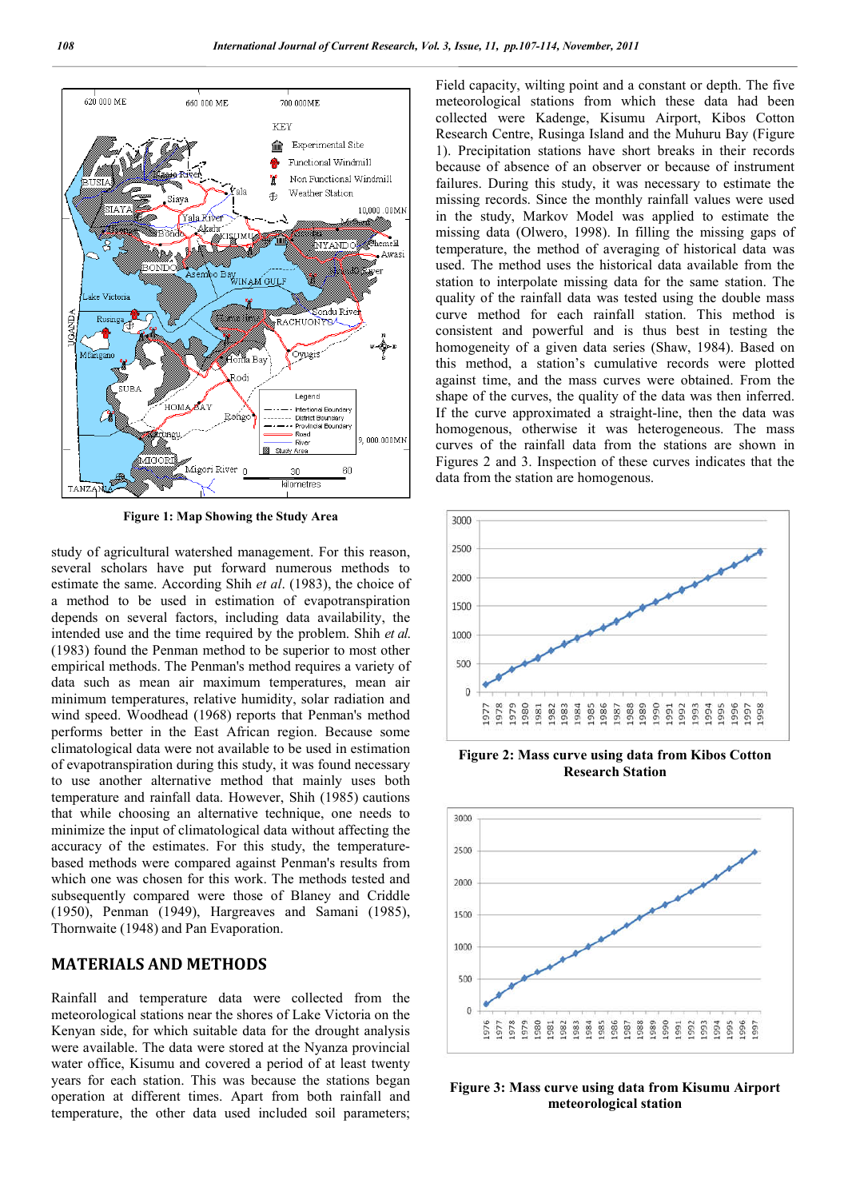

**Figure 1: Map Showing the Study Area**

study of agricultural watershed management. For this reason, several scholars have put forward numerous methods to estimate the same. According Shih *et al*. (1983), the choice of a method to be used in estimation of evapotranspiration depends on several factors, including data availability, the intended use and the time required by the problem. Shih *et al*. (1983) found the Penman method to be superior to most other empirical methods. The Penman's method requires a variety of data such as mean air maximum temperatures, mean air minimum temperatures, relative humidity, solar radiation and wind speed. Woodhead (1968) reports that Penman's method performs better in the East African region. Because some climatological data were not available to be used in estimation of evapotranspiration during this study, it was found necessary to use another alternative method that mainly uses both temperature and rainfall data. However, Shih (1985) cautions that while choosing an alternative technique, one needs to minimize the input of climatological data without affecting the accuracy of the estimates. For this study, the temperaturebased methods were compared against Penman's results from which one was chosen for this work. The methods tested and subsequently compared were those of Blaney and Criddle (1950), Penman (1949), Hargreaves and Samani (1985), Thornwaite (1948) and Pan Evaporation.

# **MATERIALS AND METHODS**

Rainfall and temperature data were collected from the meteorological stations near the shores of Lake Victoria on the Kenyan side, for which suitable data for the drought analysis were available. The data were stored at the Nyanza provincial water office, Kisumu and covered a period of at least twenty years for each station. This was because the stations began operation at different times. Apart from both rainfall and temperature, the other data used included soil parameters;

Field capacity, wilting point and a constant or depth. The five meteorological stations from which these data had been collected were Kadenge, Kisumu Airport, Kibos Cotton Research Centre, Rusinga Island and the Muhuru Bay (Figure 1). Precipitation stations have short breaks in their records because of absence of an observer or because of instrument failures. During this study, it was necessary to estimate the missing records. Since the monthly rainfall values were used in the study, Markov Model was applied to estimate the missing data (Olwero, 1998). In filling the missing gaps of temperature, the method of averaging of historical data was used. The method uses the historical data available from the station to interpolate missing data for the same station. The quality of the rainfall data was tested using the double mass curve method for each rainfall station. This method is consistent and powerful and is thus best in testing the homogeneity of a given data series (Shaw, 1984). Based on this method, a station's cumulative records were plotted against time, and the mass curves were obtained. From the shape of the curves, the quality of the data was then inferred. If the curve approximated a straight-line, then the data was homogenous, otherwise it was heterogeneous. The mass curves of the rainfall data from the stations are shown in Figures 2 and 3. Inspection of these curves indicates that the data from the station are homogenous.



**Figure 2: Mass curve using data from Kibos Cotton Research Station**



**Figure 3: Mass curve using data from Kisumu Airport meteorological station**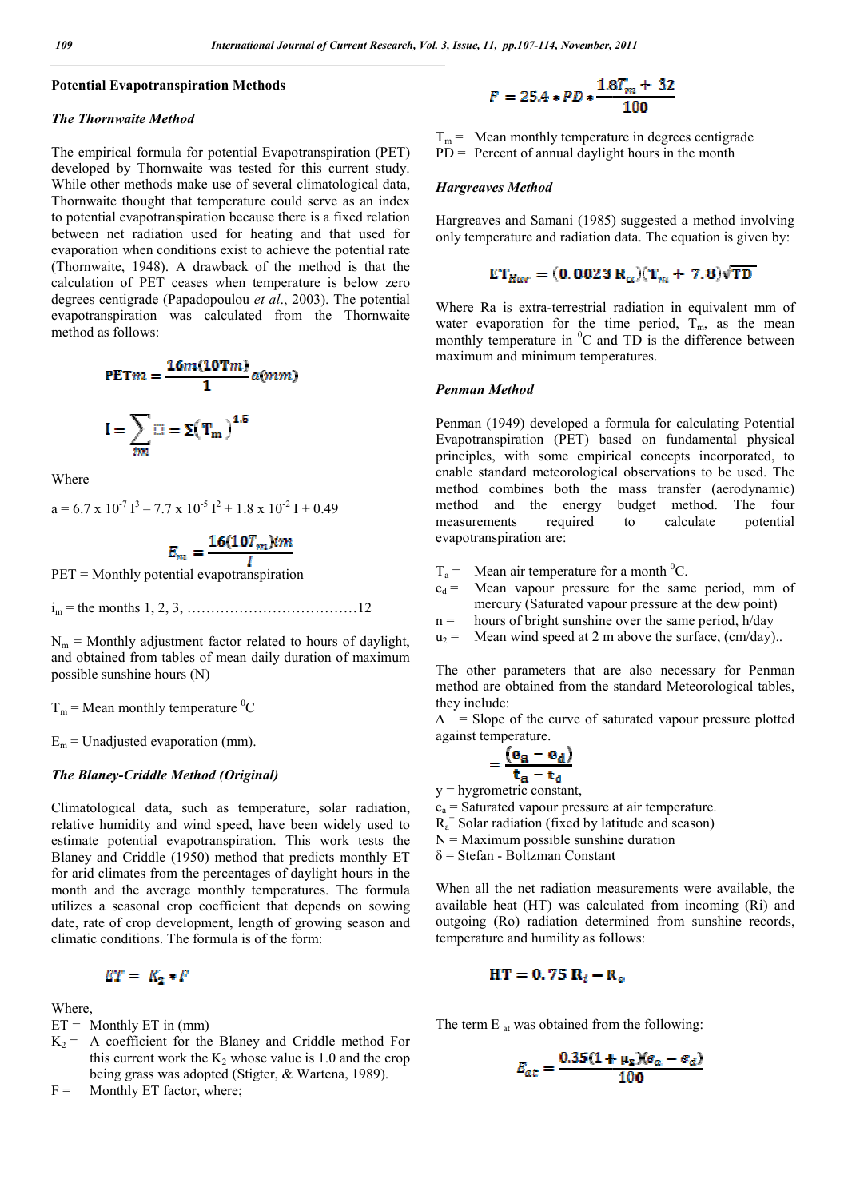#### **Potential Evapotranspiration Methods**

#### *The Thornwaite Method*

The empirical formula for potential Evapotranspiration (PET) developed by Thornwaite was tested for this current study. While other methods make use of several climatological data, Thornwaite thought that temperature could serve as an index to potential evapotranspiration because there is a fixed relation between net radiation used for heating and that used for evaporation when conditions exist to achieve the potential rate (Thornwaite, 1948). A drawback of the method is that the calculation of PET ceases when temperature is below zero degrees centigrade (Papadopoulou *et al*., 2003). The potential evapotranspiration was calculated from the Thornwaite method as follows: apotranspiration bec<br>radiation used for<br>hen conditions exist<br>1948). A drawback<br>`PET ceases when

$$
PETm = \frac{16m(10Tm)}{1}a(mm)
$$

$$
I = \sum_{im} \square = \Sigma(T_m)^{1.5}
$$

Where

$$
a = 6.7 \times 10^{-7} \text{ I}^3 - 7.7 \times 10^{-5} \text{ I}^2 + 1.8 \times 10^{-2} \text{ I} + 0.49
$$

$$
E_m = \frac{16(10T_m)im}{I}
$$

PET = Monthly potential evapotranspiration

im = the months 1, 2, 3, ………………………………12

 $N_m$  = Monthly adjustment factor related to hours of daylight, and obtained from tables of mean daily duration of maximum possible sunshine hours (N)

 $T_m$  = Mean monthly temperature <sup>0</sup>C

 $E_m$  = Unadjusted evaporation (mm).

## *The Blaney-Criddle Method (Original)*

Climatological data, such as temperature, solar radiation, relative humidity and wind speed, have been widely used to estimate potential evapotranspiration. This work tests the Blaney and Criddle (1950) method that predicts monthly ET for arid climates from the percentages of daylight hours in the month and the average monthly temperatures. The formula utilizes a seasonal crop coefficient that depends on so date, rate of crop development, length of growing season and climatic conditions. The formula is of the form: n. This work tests the<br>hat predicts monthly ET<br>s of daylight hours in the<br>nperatures. The formula<br>that depends on sowing

$$
ET = K_2 * F
$$

Where,

- $ET =$  Monthly  $ET$  in (mm)
- $K_2$  = A coefficient for the Blaney and Criddle method For this current work the  $K_2$  whose value is 1.0 and the crop being grass was adopted (Stigter, & Wartena, 1989).

 $F =$  Monthly ET factor, where;

$$
F = 25.4 * PD * \frac{1.8T_m + 32}{100}
$$

 $T_m$  = Mean monthly temperature in degrees centigrade  $PD =$  Percent of annual daylight hours in the month

#### *Hargreaves Method*

Hargreaves and Samani (1985) suggested a method involving only temperature and radiation data. The equation is given by:

$$
\mathbf{ET}_{Har} = (\mathbf{0.0023 R}_{\alpha})(\mathbf{T}_{m} + \mathbf{7.8})\sqrt{\mathbf{TD}}
$$

Where Ra is extra-terrestrial radiation in equivalent mm of water evaporation for the time period,  $T_m$ , as the mean monthly temperature in  ${}^{0}C$  and TD is the difference between maximum and minimum temperatures. reaves and Samani (1985) suggested a method involving<br>temperature and radiation data. The equation is given by:<br> $E T_{H\alpha r} = (0.0023 R_{\alpha})(T_m + 7.8)\sqrt{TD}$ <br>re Ra is extra-terrestrial radiation in equivalent mm of<br>r evaporation fo

#### *Penman Method*

Penman (1949) developed a formula for calculating Potential Evapotranspiration (PET) based on fundamental physical principles, with some empirical concepts incorporated, to enable standard meteorological observations to be used. The method combines both the mass transfer (aerodynamic) method and the energy budget method. The four measurements required to calculate potential evapotranspiration are: monthly temperature in <sup>0</sup>C and TD is the difference between<br>maximum and minimum temperatures.<br>**Penman Method**<br>Penman (1949) developed a formula for calculating Potential<br>Evapotranspiration (PET) based on fundamental physi enable standard meteorological observations to be used. The method combines both the mass transfer (aerodynamic) method and the energy budget method. The four measurements required to calculate potential evapotranspiratio

- $T_a$  = Mean air temperature for a month <sup>0</sup>C.
- $e_d$  = Mean vapour pressure for the same period, mm of mercury (Saturated vapour pressure at the dew point)<br>
n = hours of bright sunshine over the same period, h/day<br>  $u_2$  = Mean wind speed at 2 m above the surface, (cm/ mercury (Saturated vapour pressure at the dew point)
- $n =$  hours of bright sunshine over the same period, h/day
- $u_2$  = Mean wind speed at 2 m above the surface, (cm/day)..

The other parameters that are also necessary for Penman method are obtained from the standard Meteorological tables, they include: other parameters that are also necessary for P<br>od are obtained from the standard Meteorological<br>include:<br>Slope of the curve of saturated vapour pressure<br>st temperature.<br> $= \frac{(e_a - e_d)}{t_a - t_d}$ <br>ygrometric constant,<br>Saturated v

 $\Delta$  = Slope of the curve of saturated vapour pressure plotted against temperature.

$$
= \frac{(\mathbf{e}_a - \mathbf{e}_d)}{\mathbf{t}_a - \mathbf{t}_d}
$$

 $y =$ hygrometric constant,

- $e_a$  = Saturated vapour pressure at air temperature.
- $R_a$ <sup>=</sup> Solar radiation (fixed by latitude and season)
- $N =$  Maximum possible sunshine duration
- δ = Stefan Boltzman Constant

 $\delta$  = Stefan - Boltzman Constant<br>When all the net radiation measurements were available, the available heat (HT) was calculated from incoming (Ri) and outgoing (Ro) radiation determined from sunshine records, temperature and humility as follows: available heat (HT) was calculated from incoming (Ri) and outgoing (Ro) radiation determined from sunshine records, temperature and humility as follows:

$$
HT = 0.75 R_i - R_o
$$

The term  $E_{at}$  was obtained from the following:

$$
E_{at} = \frac{0.35(1 + \mu_2)(e_a - e_d)}{100}
$$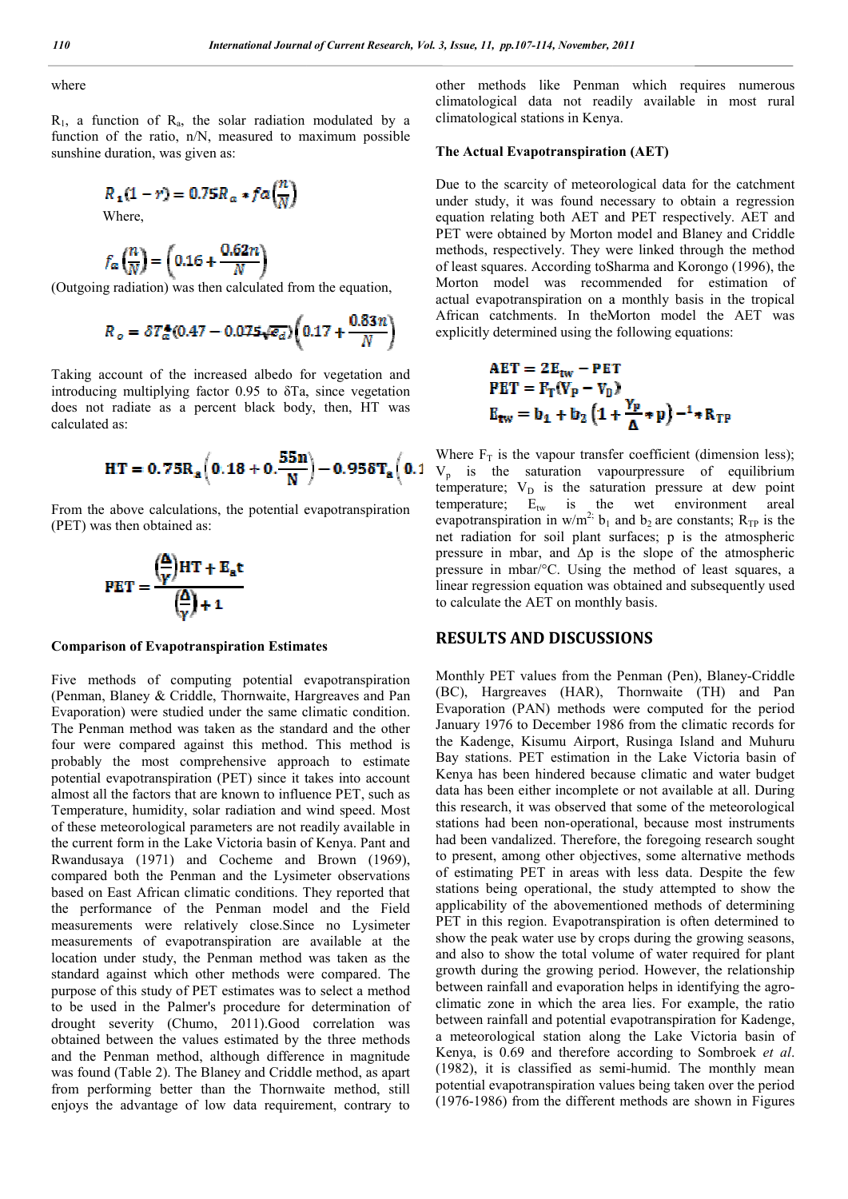where

 $R_1$ , a function of  $R_a$ , the solar radiation modulated by a function of the ratio, n/N, measured to maximum possible sunshine duration, was given as: , the solar radiation modulated by a<br>
n/N, measured to maximum possible<br>
given as:<br> **0.75R**<sub>a</sub> **\***  $fa\left(\frac{n}{N}\right)$ <br> **0.62**n<br> **1.16 +**  $\frac{0.62n}{N}$ <br>
as then calculated from the equation,<br> **0.47** - 0.075 $\sqrt{e_d}$  (0.17 +  $\$ 

$$
R_{\mathbf{1}}(1-r) = 0.75R_{\alpha} * fa\left(\frac{n}{N}\right)
$$

Where,

$$
f_{\alpha}\left(\frac{n}{N}\right) = \left(0.16 + \frac{0.62n}{N}\right)
$$

(Outgoing radiation) was then calculated from the equation,

$$
R_o = \delta T_a^4 (0.47 - 0.075 \sqrt{\epsilon_d}) \left(0.17 + \frac{0.83 n}{N}\right)
$$

Taking account of the increased albedo for vegetation and introducing multiplying factor  $0.95$  to  $\delta$ Ta, since vegetation does not radiate as a percent black body, then, HT was calculated as:

$$
HT = 0.75R_a \left(0.18 + 0.\frac{55n}{N}\right) - 0.958T_a \left(0.\right)
$$

From the above calculations, the potential evapotranspiration (PET) was then obtained as:

$$
PET = \frac{\left(\frac{\Delta}{\gamma}\right)HT + E_a t}{\left(\frac{\Delta}{\gamma}\right) + 1}
$$

#### **Comparison of Evapotranspiration Estimates**

Five methods of computing potential evapotranspiration (Penman, Blaney & Criddle, Thornwaite, Hargreaves and Pan Evaporation) were studied under the same climatic condition. The Penman method was taken as the standard and the other four were compared against this method. This method is probably the most comprehensive approach to estimate potential evapotranspiration (PET) since it takes into account almost all the factors that are known to influence PET, such as Temperature, humidity, solar radiation and wind speed. Mo of these meteorological parameters are not readily available in the current form in the Lake Victoria basin of Kenya. Pant and Rwandusaya (1971) and Cocheme and Brown (1969), compared both the Penman and the Lysimeter observations based on East African climatic conditions. They reported that the performance of the Penman model and the Field measurements were relatively close.Since no Lysimeter measurements of evapotranspiration are available at the location under study, the Penman method was taken as the standard against which other methods were compared. The purpose of this study of PET estimates was to select a method to be used in the Palmer's procedure for determination of drought severity (Chumo, 2011).Good correlation was obtained between the values estimated by the three methods and the Penman method, although difference in magnitude was found (Table 2). The Blaney and Criddle method, as apart from performing better than the Thornwaite method, still enjoys the advantage of low data requirement, contrary to , Hargreaves and Pan<br>ne climatic condition.<br>tandard and the other<br>nod. This method is<br>pproach to estimate<br>it takes into account<br>nfluence PET, such as<br>nd wind speed. Most

other methods like Penman which requires numerous like Penman climatological data not readily available in most rural climatological stations in Kenya.

## **The Actual Evapotranspiration (AET) Evapotranspiration (AET)**

Due to the scarcity of meteorological data for the catchment under study, it was found necessary to obtain a regression equation relating both AET and PET respectively. AET and PET were obtained by Morton model and Blaney and Criddle methods, respectively. They were linked through the method of least squares. According toSharma and Korongo (1996), the Morton model was recommended for estimation of actual evapotranspiration on a monthly basis in the trop African catchments. In theMorton model the AET was explicitly determined using the following equations: under study, it was found necessary to obtain a regression<br>equation relating both AET and PET respectively. AET and<br>PET were obtained by Morton model and Blaney and Criddle<br>methods, respectively. They were linked through t

catchments. In theMorton model the AET was  
y determined using the following equations:  
\n**AET** = 
$$
2E_{tw} - PET
$$
  
\n**PET** =  $F_T(V_P - V_D)$   
\n $E_{tw} = b_1 + b_2 (1 + \frac{Y_P}{\Delta} * p)^{-1} * R_{TP}$   
\n $F_T$  is the vapour transfer coefficient (dimension less);

Where  $F_T$  is the vapour transfer coefficient (dimension less);  $V_p$  is the saturation vapourpressure of equilibrium temperature;  $V_D$  is the saturation pressure at dew point temperature;  $E_{tw}$  is the wet environment areal temperature;  $E_{tw}$  is the wet environment areal evapotranspiration in w/m<sup>2;</sup>  $b_1$  and  $b_2$  are constants;  $R_{TP}$  is the net radiation for soil plant surfaces; p is the atmospheric pressure in mbar, and ∆p is the slope of the atmospheric pressure in mbar/°C. Using the method of least squares, a linear regression equation was obtained and subsequently used to calculate the AET on monthly basis. linear regression equation was obtained and subsequently used<br>to calculate the AET on monthly basis.<br>**RESULTS AND DISCUSSIONS**<br>Monthly PET values from the Penman (Pen), Blaney-Criddle plant surfaces; p is the atmospheric  $\frac{1}{2}$   $\Delta p$  is the slope of the atmospheric Using the method of least squares, a

## **RESULTS AND DISCUSSIONS**

(BC), Hargreaves (HAR), Thornwaite (TH) and Pan Evaporation (PAN) methods were computed for the period January 1976 to December 1986 from the climatic records for the Kadenge, Kisumu Airport, Rusinga Island and Muhuru Bay stations. PET estimation in the Lake Victoria basin of Evaporation (PAN) methods were computed for the period January 1976 to December 1986 from the climatic records for the Kadenge, Kisumu Airport, Rusinga Island and Muhuru Bay stations. PET estimation in the Lake Victoria ba data has been either incomplete or not available at all. During this research, it was observed that some of the meteorological stations had been non-operational, because most instruments data has been either incomplete or not available at all. During<br>this research, it was observed that some of the meteorological<br>stations had been non-operational, because most instruments<br>had been vandalized. Therefore, the to present, among other objectives, some alternative methods of estimating PET in areas with less data. Despite the few stations being operational, the study attempted to show the applicability of the abovementioned methods of determining PET in this region. Evapotranspiration is often determined to show the peak water use by crops during the growing seasons, and also to show the total volume of water required for plant growth during the growing period. However, the relationship between rainfall and evaporation helps in identifying the agro climatic zone in which the area lies. For example, the ratio between rainfall and potential evapotranspiration for Kadenge, a meteorological station along the Lake Victoria basin of Kenya, is 0.69 and therefore according to Sombroek *et al.*  $(1982)$ , it is classified as semi-humid. The monthly mean potential evapotranspiration values being taken over the period (1976-1986) from the different methods are shown in Figures to present, among other objectives, some alternative methods of estimating PET in areas with less data. Despite the few stations being operational, the study attempted to show the applicability of the abovementioned method which the area lies. For example, the ratio and potential evapotranspiration for Kadenge, 1 station along the Lake Victoria basin of and therefore according to Sombroek *et al*. 3, Issue, 11, pp.107-114, November, 2011<br>
other methods like Pennan v<br>
climatological data not readily<br>
climatological data not readily<br>
climatological stations in Kenya.<br>
The Actual Exapotranspiration (<br>
Due to the scarc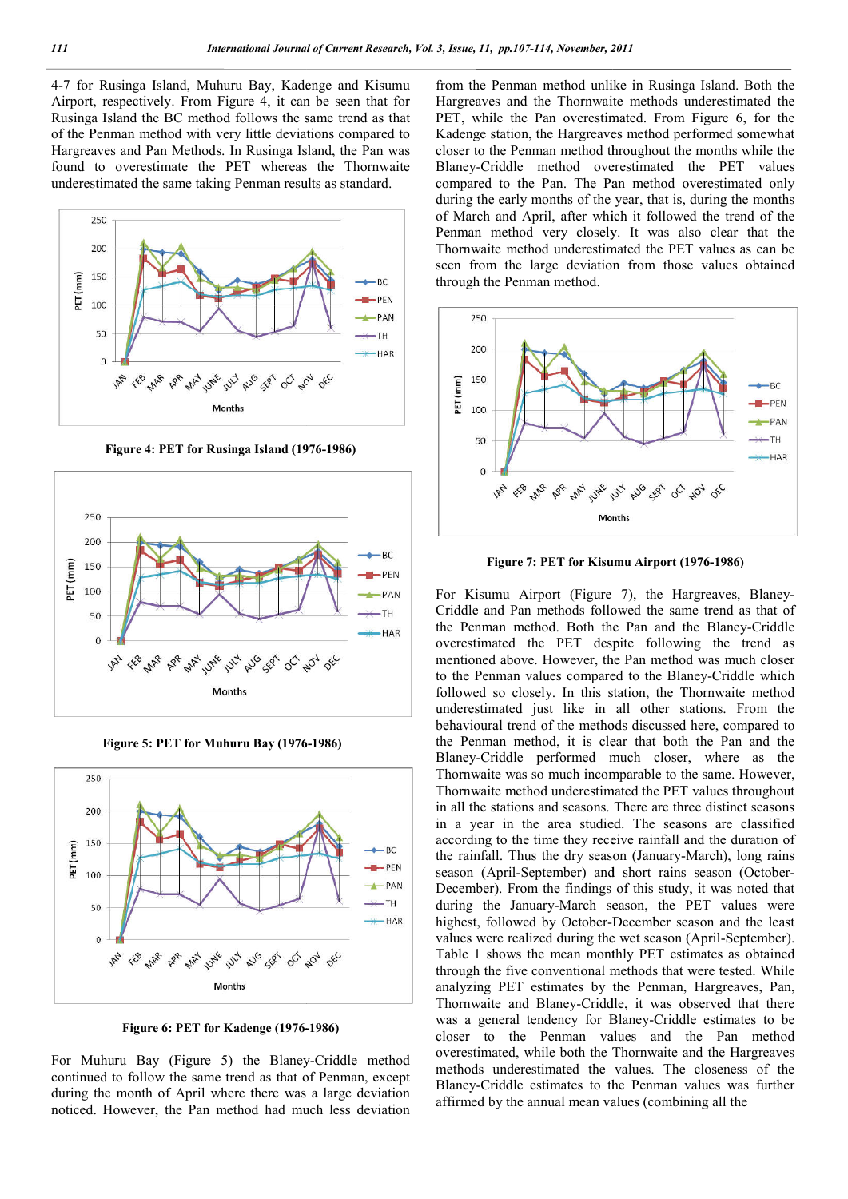4-7 for Rusinga Island, Muhuru Bay, Kadenge and Kisumu Airport, respectively. From Figure 4, it can be seen that for Rusinga Island the BC method follows the same trend as that of the Penman method with very little deviations compared to Hargreaves and Pan Methods. In Rusinga Island, the Pan was found to overestimate the PET whereas the Thornwaite underestimated the same taking Penman results as standard.



**Figure 4: PET for Rusinga Island (1976 (1976-1986)**



**Figure 5: PET for Muhuru Bay (1976 (1976-1986)**



**Figure 6: PET for Kadenge (1976- -1986)**

For Muhuru Bay (Figure 5) the Blaney-Criddle method continued to follow the same trend as that of Penman, except during the month of April where there was a large deviation noticed. However, the Pan method had much less deviation

from the Penman method unlike in Rusinga Island. Both the Hargreaves and the Thornwaite methods underestimated the PET, while the Pan overestimated. From Figure 6, for the Kadenge station, the Hargreaves method performed somewhat Kadenge station, the Hargreaves method performed somewhat closer to the Penman method throughout the months while the Blaney-Criddle method overestimated the PET values compared to the Pan. The Pan method overestimated only during the early months of the year, that is, during the months of March and April, after which it followed the trend of the Penman method very closely. It was also clear that the Thornwaite method underestimated the PET values as can be seen from the large deviation from those values obtained through the Penman method. In method unlike in Rusinga Island. Both the<br>the Thornwaite methods underestimated the<br>Pan overestimated. From Figure 6, for the Blaney-Criddle method overestimated the PET values<br>compared to the Pan. The Pan method overestimated only<br>during the early months of the year, that is, during the months<br>of March and April, after which it followed the tren



Figure 7: PET for Kisumu Airport (1976-1986)

For Kisumu Airport (Figure 7), the Hargreaves, Blaney-Criddle and Pan methods followed the same trend as that of Criddle and Pan methods followed the same trend as that of the Penman method. Both the Pan and the Blaney-Criddle overestimated the PET despite following the trend as mentioned above. However, the Pan method was much closer to the Penman values compared to the Blaney followed so closely. In this station, the Thornwaite method underestimated just like in all other stations. From the behavioural trend of the methods discussed here, compared to the Penman method, it is clear that both the Pan and the Blaney-Criddle performed much closer, where as the Thornwaite was so much incomparable to the same. However, Thornwaite method underestimated the PET values throughout in all the stations and seasons. There are three distinct seasons in a year in the area studied. The seasons are classified according to the time they receive rainfall and the duration of the rainfall. Thus the dry season (January-March), long rains season (April-September) and short rains season (October-December). From the findings of this study, it was noted that during the January-March season, the PET values were highest, followed by October-December season and the least values were realized during the wet season (April Table 1 shows the mean monthly PET estimates as obtained through the five conventional methods that were tested. While analyzing PET estimates by the Penman, Hargreaves, Pan, Thornwaite and Blaney-Criddle, it was observed that there Table 1 shows the mean monthly PET estimates as obtained through the five conventional methods that were tested. While analyzing PET estimates by the Penman, Hargreaves, Pan, Thornwaite and Blaney-Criddle, it was observed closer to the Penman values and the Pan method overestimated, while both the Thornwaite and the Hargreaves methods underestimated the values. The closeness of the Blaney-Criddle estimates to the Penman values was further affirmed by the annual mean values (combining all the restimated the PET despite following the trend as<br>attioned above. However, the Pan method was much closer<br>he Penman values compared to the Blaney-Criddle which followed so closely. In this station, the Thornwaite method underestimated just like in all other stations. From the behavioural trend of the methods discussed here, compared to the Penman method, it is clear that both the a year in the area studied. The seasons are classified ording to the time they receive rainfall and the duration of rainfall. Thus the dry season (January-March), long rains mber). From the findings of this study, it was noted that g the January-March season, the PET values were sest, followed by October-December season and the least is were realized during the wet season (April-September). 11, pp.07-114, Noromber, 2011<br>
11, pp.07-114, Noromber, 2011<br>
12 Penman method unikeis in Rusinga Island, Both the<br>
12 Penman method unikeis in Rusinga Island, Both the<br>
bristian density and the Pan vortestimated Therm Hi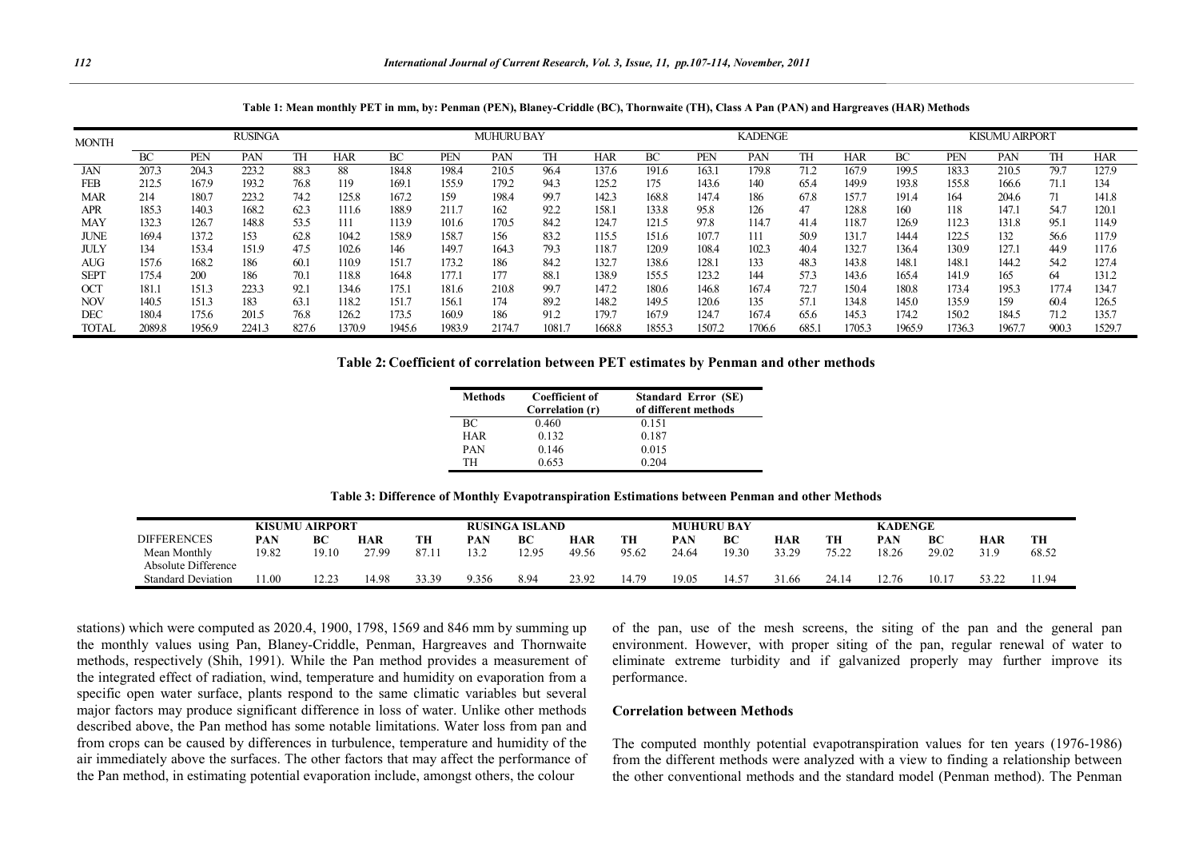**Table 1: Mean monthly PET in mm, by: Penman (PEN), Blaney-Criddle (BC), Thornwaite (TH), Class A Pan (PAN) and Hargreaves (HAR) Methods**

| <b>MONTH</b> | <b>RUSINGA</b> |        |        |       |            |        |            | <b>MUHURU BAY</b> |       |        |        |        | <b>KADENGE</b> |      |       |        | <b>KISUMU AIRPORT</b> |        |       |            |  |
|--------------|----------------|--------|--------|-------|------------|--------|------------|-------------------|-------|--------|--------|--------|----------------|------|-------|--------|-----------------------|--------|-------|------------|--|
|              | ВC             | PEN    | PAN    | TH    | <b>HAR</b> | ВC     | <b>PEN</b> | PAN               | TH    | HAR    | ВC     | PEN    | PAN            | TH   | HAR   | ВC     | <b>PEN</b>            | PAN    | TН    | <b>HAR</b> |  |
| JAN          | 207.3          | 204.3  | 223.2  | 88.3  | 88         | 184.8  | 198.4      | 210.5             | 96.4  | 137.6  | 191.6  | 163.1  | 179.8          | 71.2 | 167.9 | 199.5  | 183.3                 | 210.5  | 79.7  | 127.9      |  |
| <b>FEB</b>   | 212.5          | 167.9  | 193.2  | 76.8  | 119        | 169.1  | 155.9      | 179.2             | 94.3  | 125.2  | 175    | 143.6  | 140            | 65.4 | 149.9 | 193.8  | 155.8                 | 166.6  | 71.1  | 134        |  |
| MAR          | 214            | 180.7  | 223.2  | 74.2  | 125.8      | 167.2  | 159        | 198.4             | 99.7  | 142.3  | 168.8  | 147.4  | 186            | 67.8 | 157.7 | 191.4  | 164                   | 204.6  |       | 141.8      |  |
| <b>APR</b>   | 185.3          | 140.3  | 168.2  | 62.3  | 111.6      | 188.9  | 211.7      | 162               | 92.2  | 158.1  | 133.8  | 95.8   | 126            | 47   | 128.8 | 160    | 118                   | 147.   | 54.7  | 120.1      |  |
| <b>MAY</b>   | 132.3          | 126.7  | 148.8  | 53.5  | 111        | 113.9  | 101.6      | 170.5             | 84.2  | 124.7  | 121.5  | 97.8   | 114.7          | 41.4 | 118.7 | 126.9  | 112.3                 | 131.8  | 95.1  | 114.9      |  |
| <b>JUNE</b>  | 169.4          | 137.2  | 153    | 62.8  | 104.2      | 158.9  | 158.7      | 156               | 83.2  | 115.5  | 151.6  | 107.7  | 111            | 50.9 | 131.7 | 144.4  | 122.5                 | 132    | 56.6  | 117.9      |  |
| <b>JULY</b>  | 134            | 153.4  | 151.9  | 47.5  | 102.6      | 146    | 149.7      | 164.3             | 79.3  | 118.7  | 120.9  | 108.4  | 102.3          | 40.4 | 132.1 | 136.4  | 130.9                 | 127.1  | 44.9  | 117.6      |  |
| <b>AUG</b>   | 157.6          | 168.2  | 186    | 60.1  | 110.9      | 151.7  | 173.2      | 186               | 84.2  | 132.7  | 138.6  | 128.1  | 133            | 48.3 | 143.8 | 148.1  | 148.1                 | 144.2  | 54.2  | 127.4      |  |
| <b>SEPT</b>  | 175.4          | 200    | 186    | 70.1  | 118.8      | 164.8  | 177.1      | 177               | 88.   | 138.9  | 155.5  | 123.2  | 144            | 57.3 | 143.6 | 165.4  | 141.9                 | 165    | 64    | 131.2      |  |
| <b>OCT</b>   | 181.1          | 151.3  | 223.3  | 92.1  | 134.6      | 175.1  | 181.6      | 210.8             | 99.7  | 147.2  | 180.6  | 146.8  | 167.4          | 72.7 | 150.4 | 180.8  | 173.4                 | 195.3  | 177.4 | 134.7      |  |
| <b>NOV</b>   | 140.5          | 151.3  | 183    | 63.1  | 118.2      | 151.7  | 156.1      | 174               | 89.2  | 148.2  | 149.5  | 120.6  | 135            | 57.1 | 134.8 | 145.0  | 135.9                 | 159    | 60.4  | 126.5      |  |
| <b>DEC</b>   | 180.4          | 175.6  | 201.5  | 76.8  | 126.2      | 173.5  | 160.9      | 186               | 91.2  | 179.7  | 167.9  | 124.7  | 167.4          | 65.6 | 145.3 | 174.2  | 150.2                 | 184.5  | 71.2  | 135.7      |  |
| TOTAL        | 2089.8         | 1956.9 | 2241.3 | 827.6 | 1370.9     | 1945.6 | 1983.9     | 2174.7            | 1081. | 1668.8 | 1855.3 | 1507.2 | 706.6          | 685. | 705.3 | 1965.9 | 1736.3                | 1967.7 | 900.3 | 1529.7     |  |

**Table 2: Coefficient of correlation between PET estimates by Penman and other methods**

| <b>Methods</b> | <b>Coefficient of</b> | <b>Standard Error (SE)</b> |  |  |  |  |  |  |
|----------------|-----------------------|----------------------------|--|--|--|--|--|--|
|                | Correlation (r)       | of different methods       |  |  |  |  |  |  |
| ВC             | 0.460                 | 0.151                      |  |  |  |  |  |  |
| <b>HAR</b>     | 0.132                 | 0.187                      |  |  |  |  |  |  |
| <b>PAN</b>     | 0.146                 | 0.015                      |  |  |  |  |  |  |
| TH             | 0.653                 | 0.204                      |  |  |  |  |  |  |
|                |                       |                            |  |  |  |  |  |  |

**Table 3: Difference of Monthly Evapotranspiration Estimations between Penman and other Methods**

|                           | KISUMU- | <b>AIRPORT</b> |       |           | <b>RUSINGA ISLAND</b> |      |       |       |            | <b>MUHURU BAY</b> |       |       | <b>KADENGE</b> |       |        |       |
|---------------------------|---------|----------------|-------|-----------|-----------------------|------|-------|-------|------------|-------------------|-------|-------|----------------|-------|--------|-------|
| <b>DIFFERENCES</b>        | PAN     | BC             | HAR   | <b>TH</b> | PAN                   | BC   | HAR   | TН    | <b>PAN</b> | BC                | HAR   | TH    | PAN            | BC    | HAR    | TH    |
| Mean Monthly              | 19.82   | 19.10          | 27.99 |           | 2 C                   | 2.95 | 49.56 | 95.62 | 24.64      | 19.30             | 33.29 | 75.22 | 18.26          | 29.02 | 31.9   | 68.52 |
| Absolute Difference       |         |                |       |           |                       |      |       |       |            |                   |       |       |                |       |        |       |
| <b>Standard Deviation</b> | 1.00    | .              | 14.98 | 33.39     | 9.356                 | 8.94 | 23.92 | 14.79 | 19.05      | $14.5^{\circ}$    | 31.66 | 24.14 | 12.76          | 10.17 | 53. 99 | 11.94 |

stations) which were computed as 2020.4, 1900, 1798, 1569 and 846 mm by summing up the monthly values using Pan, Blaney-Criddle, Penman, Hargreaves and Thornwaite methods, respectively (Shih, 1991). While the Pan method provides a measurement of the integrated effect of radiation, wind, temperature and humidity on evaporation from a specific open water surface, plants respond to the same climatic variables but several major factors may produce significant difference in loss of water. Unlike other methods described above, the Pan method has some notable limitations. Water loss from pan and from crops can be caused by differences in turbulence, temperature and humidity of the air immediately above the surfaces. The other factors that may affect the performance of the Pan method, in estimating potential evaporation include, amongst others, the colour

of the pan, use of the mesh screens, the siting of the pan and the general pan environment. However, with proper siting of the pan, regular renewal of water to eliminate extreme turbidity and if galvanized properly may further improve its performance.

#### **Correlation between Methods**

The computed monthly potential evapotranspiration values for ten years (1976-1986) from the different methods were analyzed with a view to finding a relationship between the other conventional methods and the standard model (Penman method). The Penman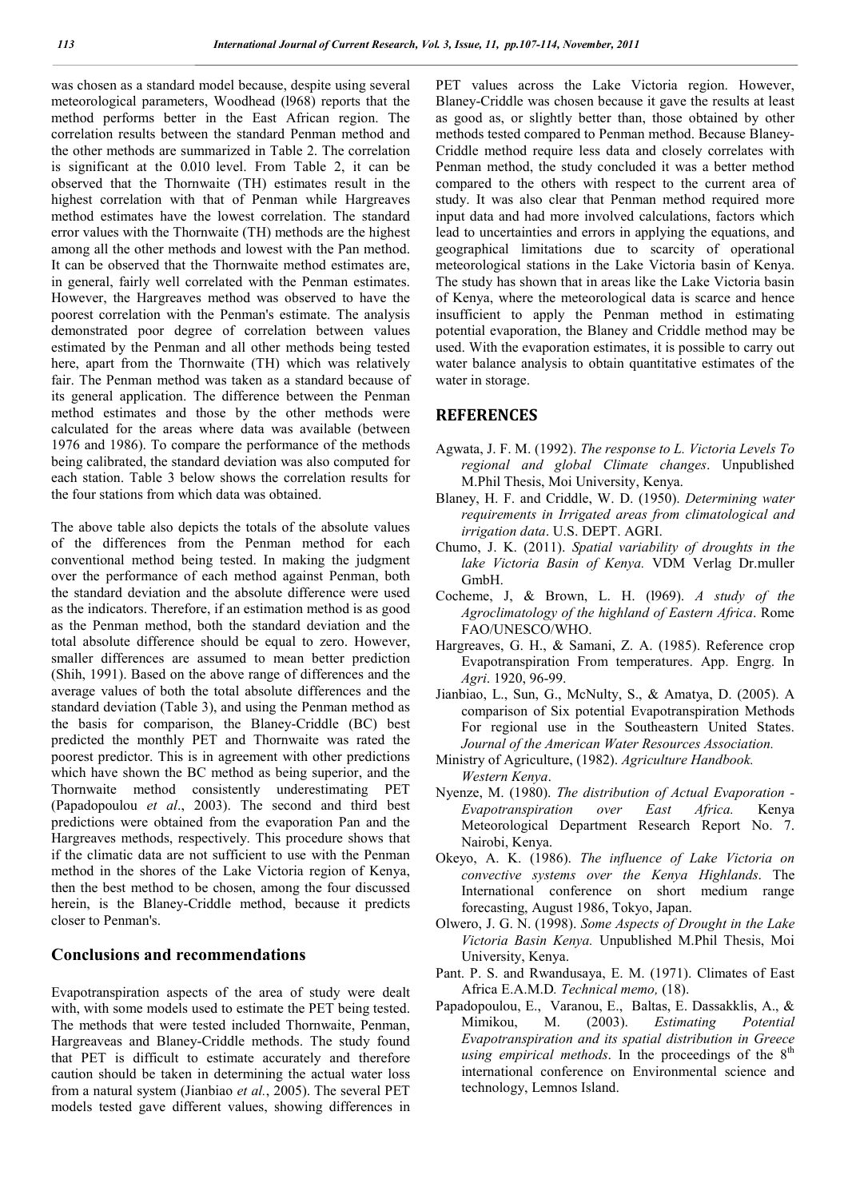was chosen as a standard model because, despite using several meteorological parameters, Woodhead (l968) reports that the method performs better in the East African region. The correlation results between the standard Penman method and the other methods are summarized in Table 2. The correlation is significant at the 0.010 level. From Table 2, it can be observed that the Thornwaite (TH) estimates result in the highest correlation with that of Penman while Hargreaves method estimates have the lowest correlation. The standard error values with the Thornwaite (TH) methods are the highest among all the other methods and lowest with the Pan method. It can be observed that the Thornwaite method estimates are, in general, fairly well correlated with the Penman estimates. However, the Hargreaves method was observed to have the poorest correlation with the Penman's estimate. The analysis demonstrated poor degree of correlation between values estimated by the Penman and all other methods being tested here, apart from the Thornwaite (TH) which was relatively fair. The Penman method was taken as a standard because of its general application. The difference between the Penman method estimates and those by the other methods were calculated for the areas where data was available (between 1976 and 1986). To compare the performance of the methods being calibrated, the standard deviation was also computed for each station. Table 3 below shows the correlation results for the four stations from which data was obtained.

The above table also depicts the totals of the absolute values of the differences from the Penman method for each conventional method being tested. In making the judgment over the performance of each method against Penman, both the standard deviation and the absolute difference were used as the indicators. Therefore, if an estimation method is as good as the Penman method, both the standard deviation and the total absolute difference should be equal to zero. However, smaller differences are assumed to mean better prediction (Shih, 1991). Based on the above range of differences and the average values of both the total absolute differences and the standard deviation (Table 3), and using the Penman method as the basis for comparison, the Blaney-Criddle (BC) best predicted the monthly PET and Thornwaite was rated the poorest predictor. This is in agreement with other predictions which have shown the BC method as being superior, and the Thornwaite method consistently underestimating PET (Papadopoulou *et al*., 2003). The second and third best predictions were obtained from the evaporation Pan and the Hargreaves methods, respectively. This procedure shows that if the climatic data are not sufficient to use with the Penman method in the shores of the Lake Victoria region of Kenya, then the best method to be chosen, among the four discussed herein, is the Blaney-Criddle method, because it predicts closer to Penman's.

# **Conclusions and recommendations**

Evapotranspiration aspects of the area of study were dealt with, with some models used to estimate the PET being tested. The methods that were tested included Thornwaite, Penman, Hargreaveas and Blaney-Criddle methods. The study found that PET is difficult to estimate accurately and therefore caution should be taken in determining the actual water loss from a natural system (Jianbiao *et al.*, 2005). The several PET models tested gave different values, showing differences in

PET values across the Lake Victoria region. However, Blaney-Criddle was chosen because it gave the results at least as good as, or slightly better than, those obtained by other methods tested compared to Penman method. Because Blaney-Criddle method require less data and closely correlates with Penman method, the study concluded it was a better method compared to the others with respect to the current area of study. It was also clear that Penman method required more input data and had more involved calculations, factors which lead to uncertainties and errors in applying the equations, and geographical limitations due to scarcity of operational meteorological stations in the Lake Victoria basin of Kenya. The study has shown that in areas like the Lake Victoria basin of Kenya, where the meteorological data is scarce and hence insufficient to apply the Penman method in estimating potential evaporation, the Blaney and Criddle method may be used. With the evaporation estimates, it is possible to carry out water balance analysis to obtain quantitative estimates of the water in storage.

## **REFERENCES**

- Agwata, J. F. M. (1992). *The response to L. Victoria Levels To regional and global Climate changes*. Unpublished M.Phil Thesis, Moi University, Kenya.
- Blaney, H. F. and Criddle, W. D. (1950). *Determining water requirements in Irrigated areas from climatological and irrigation data*. U.S. DEPT. AGRI.
- Chumo, J. K. (2011). *Spatial variability of droughts in the lake Victoria Basin of Kenya.* VDM Verlag Dr.muller GmbH.
- Cocheme, J, & Brown, L. H. (l969). *A study of the Agroclimatology of the highland of Eastern Africa*. Rome FAO/UNESCO/WHO.
- Hargreaves, G. H., & Samani, Z. A. (1985). Reference crop Evapotranspiration From temperatures. App. Engrg. In *Agri*. 1920, 96-99.
- Jianbiao, L., Sun, G., McNulty, S., & Amatya, D. (2005). A comparison of Six potential Evapotranspiration Methods For regional use in the Southeastern United States. *Journal of the American Water Resources Association.*
- Ministry of Agriculture, (1982). *Agriculture Handbook. Western Kenya*.
- Nyenze, M. (1980). *The distribution of Actual Evaporation - Evapotranspiration over East Africa.* Kenya Meteorological Department Research Report No. 7. Nairobi, Kenya.
- Okeyo, A. K. (1986). *The influence of Lake Victoria on convective systems over the Kenya Highlands*. The International conference on short medium range forecasting, August 1986, Tokyo, Japan.
- Olwero, J. G. N. (1998). *Some Aspects of Drought in the Lake Victoria Basin Kenya.* Unpublished M.Phil Thesis, Moi University, Kenya.
- Pant. P. S. and Rwandusaya, E. M. (1971). Climates of East Africa E.A.M.D*. Technical memo,* (18).
- Papadopoulou, E., Varanou, E., Baltas, E. Dassakklis, A., & Mimikou, M. (2003). *Estimating Potential Evapotranspiration and its spatial distribution in Greece using empirical methods*. In the proceedings of the 8<sup>th</sup> international conference on Environmental science and technology, Lemnos Island.